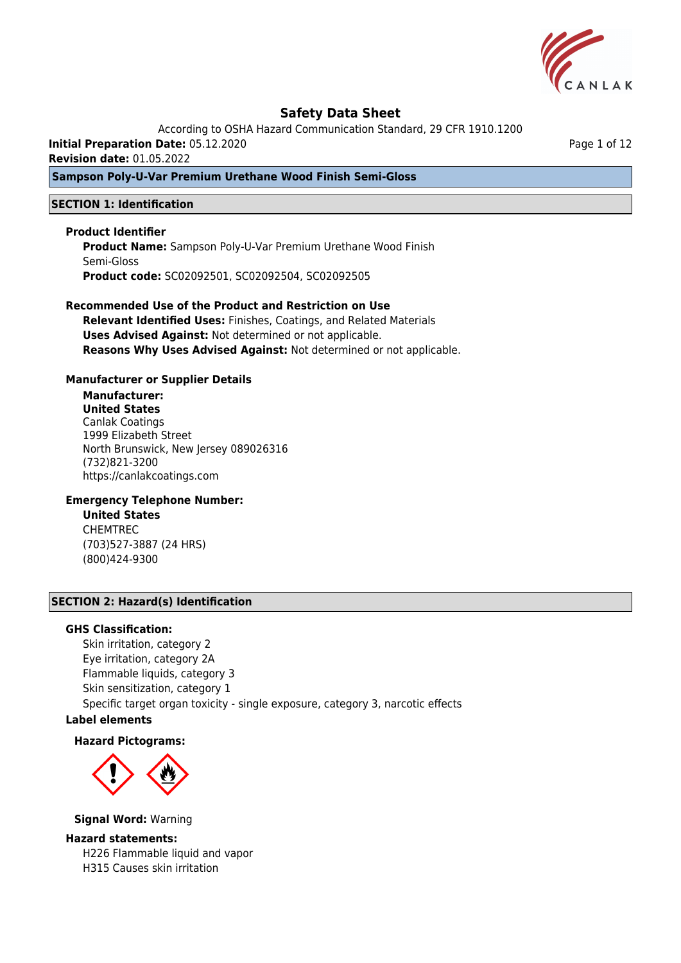

According to OSHA Hazard Communication Standard, 29 CFR 1910.1200

**Initial Preparation Date:** 05.12.2020

**Revision date:** 01.05.2022

## **Sampson Poly-U-Var Premium Urethane Wood Finish Semi-Gloss**

## **SECTION 1: Identification**

### **Product Identifier**

**Product Name:** Sampson Poly-U-Var Premium Urethane Wood Finish Semi-Gloss **Product code:** SC02092501, SC02092504, SC02092505

# **Recommended Use of the Product and Restriction on Use**

**Relevant Identified Uses:** Finishes, Coatings, and Related Materials **Uses Advised Against:** Not determined or not applicable. **Reasons Why Uses Advised Against:** Not determined or not applicable.

### **Manufacturer or Supplier Details**

# **Manufacturer:**

**United States** Canlak Coatings 1999 Elizabeth Street North Brunswick, New Jersey 089026316 (732)821-3200 https://canlakcoatings.com

## **Emergency Telephone Number:**

**United States** CHEMTREC (703)527-3887 (24 HRS) (800)424-9300

## **SECTION 2: Hazard(s) Identification**

### **GHS Classification:**

Skin irritation, category 2 Eye irritation, category 2A Flammable liquids, category 3 Skin sensitization, category 1 Specific target organ toxicity - single exposure, category 3, narcotic effects

# **Label elements**

### **Hazard Pictograms:**



**Signal Word:** Warning

### **Hazard statements:**

H226 Flammable liquid and vapor H315 Causes skin irritation

Page 1 of 12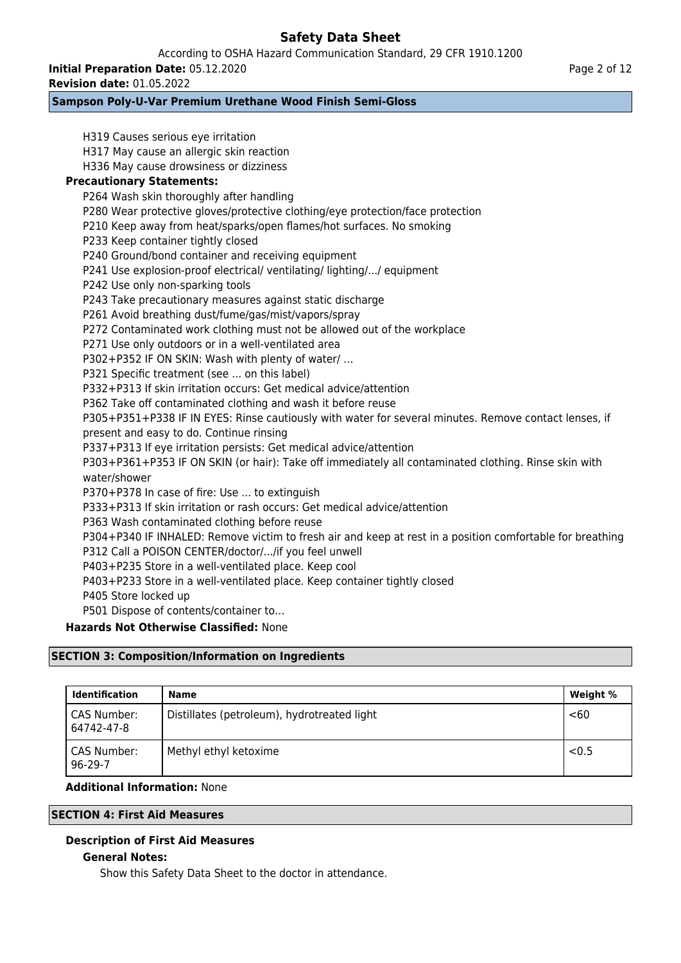According to OSHA Hazard Communication Standard, 29 CFR 1910.1200

**Initial Preparation Date:** 05.12.2020

**Revision date:** 01.05.2022

# **Sampson Poly-U-Var Premium Urethane Wood Finish Semi-Gloss**

H319 Causes serious eye irritation H317 May cause an allergic skin reaction H336 May cause drowsiness or dizziness **Precautionary Statements:** P264 Wash skin thoroughly after handling P280 Wear protective gloves/protective clothing/eye protection/face protection P210 Keep away from heat/sparks/open flames/hot surfaces. No smoking P233 Keep container tightly closed P240 Ground/bond container and receiving equipment P241 Use explosion-proof electrical/ ventilating/ lighting/.../ equipment P242 Use only non-sparking tools P243 Take precautionary measures against static discharge P261 Avoid breathing dust/fume/gas/mist/vapors/spray P272 Contaminated work clothing must not be allowed out of the workplace P271 Use only outdoors or in a well-ventilated area P302+P352 IF ON SKIN: Wash with plenty of water/ … P321 Specific treatment (see ... on this label) P332+P313 If skin irritation occurs: Get medical advice/attention P362 Take off contaminated clothing and wash it before reuse P305+P351+P338 IF IN EYES: Rinse cautiously with water for several minutes. Remove contact lenses, if present and easy to do. Continue rinsing P337+P313 If eye irritation persists: Get medical advice/attention P303+P361+P353 IF ON SKIN (or hair): Take off immediately all contaminated clothing. Rinse skin with water/shower P370+P378 In case of fire: Use ... to extinguish P333+P313 If skin irritation or rash occurs: Get medical advice/attention P363 Wash contaminated clothing before reuse P304+P340 IF INHALED: Remove victim to fresh air and keep at rest in a position comfortable for breathing P312 Call a POISON CENTER/doctor/.../if you feel unwell P403+P235 Store in a well-ventilated place. Keep cool P403+P233 Store in a well-ventilated place. Keep container tightly closed P405 Store locked up P501 Dispose of contents/container to… **Hazards Not Otherwise Classified:** None

# **SECTION 3: Composition/Information on Ingredients**

| <b>Identification</b>     | Name                                        | Weight % |
|---------------------------|---------------------------------------------|----------|
| CAS Number:<br>64742-47-8 | Distillates (petroleum), hydrotreated light | <60      |
| CAS Number:<br>96-29-7    | Methyl ethyl ketoxime                       | < 0.5    |

## **Additional Information:** None

## **SECTION 4: First Aid Measures**

## **Description of First Aid Measures**

## **General Notes:**

Show this Safety Data Sheet to the doctor in attendance.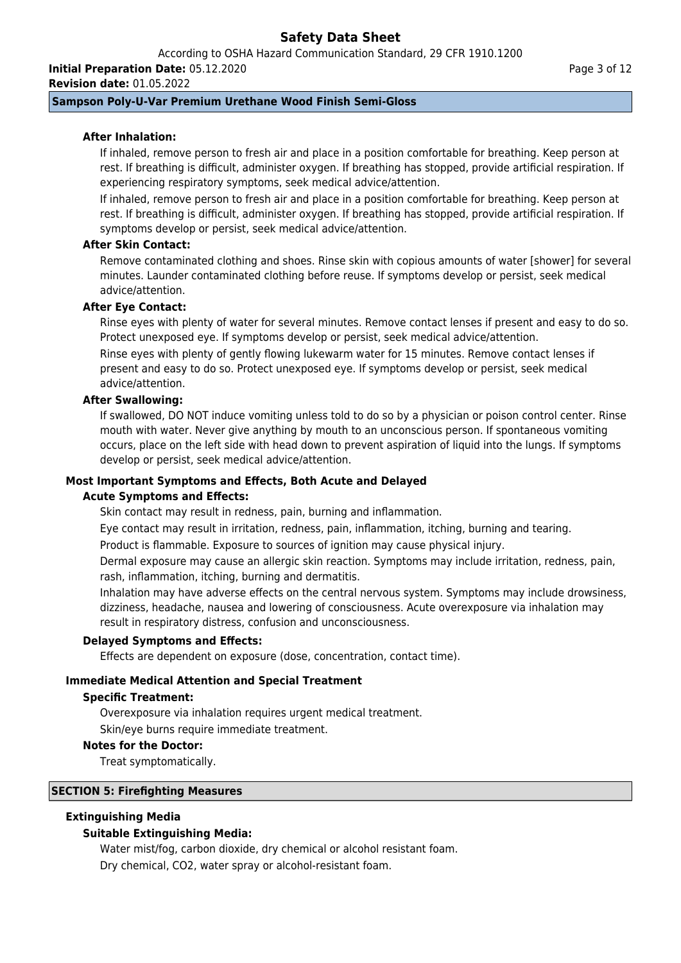According to OSHA Hazard Communication Standard, 29 CFR 1910.1200

**Initial Preparation Date:** 05.12.2020

**Revision date:** 01.05.2022

# **Sampson Poly-U-Var Premium Urethane Wood Finish Semi-Gloss**

# **After Inhalation:**

If inhaled, remove person to fresh air and place in a position comfortable for breathing. Keep person at rest. If breathing is difficult, administer oxygen. If breathing has stopped, provide artificial respiration. If experiencing respiratory symptoms, seek medical advice/attention.

If inhaled, remove person to fresh air and place in a position comfortable for breathing. Keep person at rest. If breathing is difficult, administer oxygen. If breathing has stopped, provide artificial respiration. If symptoms develop or persist, seek medical advice/attention.

## **After Skin Contact:**

Remove contaminated clothing and shoes. Rinse skin with copious amounts of water [shower] for several minutes. Launder contaminated clothing before reuse. If symptoms develop or persist, seek medical advice/attention.

# **After Eye Contact:**

Rinse eyes with plenty of water for several minutes. Remove contact lenses if present and easy to do so. Protect unexposed eye. If symptoms develop or persist, seek medical advice/attention. Rinse eyes with plenty of gently flowing lukewarm water for 15 minutes. Remove contact lenses if

present and easy to do so. Protect unexposed eye. If symptoms develop or persist, seek medical advice/attention.

### **After Swallowing:**

If swallowed, DO NOT induce vomiting unless told to do so by a physician or poison control center. Rinse mouth with water. Never give anything by mouth to an unconscious person. If spontaneous vomiting occurs, place on the left side with head down to prevent aspiration of liquid into the lungs. If symptoms develop or persist, seek medical advice/attention.

## **Most Important Symptoms and Effects, Both Acute and Delayed**

### **Acute Symptoms and Effects:**

Skin contact may result in redness, pain, burning and inflammation.

Eye contact may result in irritation, redness, pain, inflammation, itching, burning and tearing.

Product is flammable. Exposure to sources of ignition may cause physical injury.

Dermal exposure may cause an allergic skin reaction. Symptoms may include irritation, redness, pain, rash, inflammation, itching, burning and dermatitis.

Inhalation may have adverse effects on the central nervous system. Symptoms may include drowsiness, dizziness, headache, nausea and lowering of consciousness. Acute overexposure via inhalation may result in respiratory distress, confusion and unconsciousness.

### **Delayed Symptoms and Effects:**

Effects are dependent on exposure (dose, concentration, contact time).

## **Immediate Medical Attention and Special Treatment**

### **Specific Treatment:**

Overexposure via inhalation requires urgent medical treatment.

Skin/eye burns require immediate treatment.

### **Notes for the Doctor:**

Treat symptomatically.

## **SECTION 5: Firefighting Measures**

## **Extinguishing Media**

## **Suitable Extinguishing Media:**

Water mist/fog, carbon dioxide, dry chemical or alcohol resistant foam. Dry chemical, CO2, water spray or alcohol-resistant foam.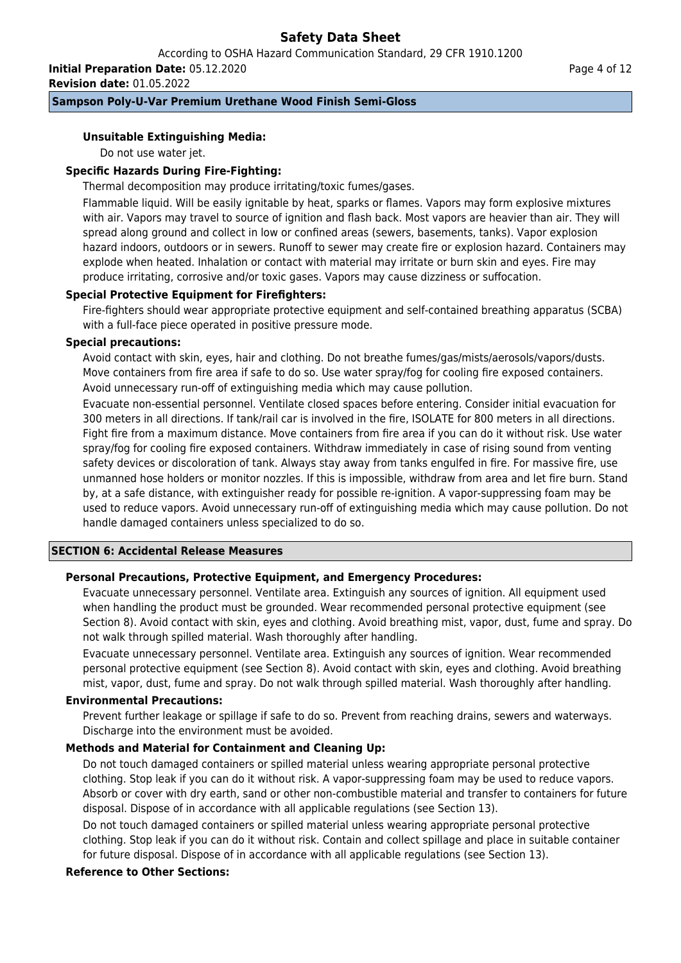According to OSHA Hazard Communication Standard, 29 CFR 1910.1200

**Initial Preparation Date:** 05.12.2020

**Revision date:** 01.05.2022

# **Sampson Poly-U-Var Premium Urethane Wood Finish Semi-Gloss**

## **Unsuitable Extinguishing Media:**

Do not use water jet.

## **Specific Hazards During Fire-Fighting:**

Thermal decomposition may produce irritating/toxic fumes/gases.

Flammable liquid. Will be easily ignitable by heat, sparks or flames. Vapors may form explosive mixtures with air. Vapors may travel to source of ignition and flash back. Most vapors are heavier than air. They will spread along ground and collect in low or confined areas (sewers, basements, tanks). Vapor explosion hazard indoors, outdoors or in sewers. Runoff to sewer may create fire or explosion hazard. Containers may explode when heated. Inhalation or contact with material may irritate or burn skin and eyes. Fire may produce irritating, corrosive and/or toxic gases. Vapors may cause dizziness or suffocation.

### **Special Protective Equipment for Firefighters:**

Fire-fighters should wear appropriate protective equipment and self-contained breathing apparatus (SCBA) with a full-face piece operated in positive pressure mode.

## **Special precautions:**

Avoid contact with skin, eyes, hair and clothing. Do not breathe fumes/gas/mists/aerosols/vapors/dusts. Move containers from fire area if safe to do so. Use water spray/fog for cooling fire exposed containers. Avoid unnecessary run-off of extinguishing media which may cause pollution.

Evacuate non-essential personnel. Ventilate closed spaces before entering. Consider initial evacuation for 300 meters in all directions. If tank/rail car is involved in the fire, ISOLATE for 800 meters in all directions. Fight fire from a maximum distance. Move containers from fire area if you can do it without risk. Use water spray/fog for cooling fire exposed containers. Withdraw immediately in case of rising sound from venting safety devices or discoloration of tank. Always stay away from tanks engulfed in fire. For massive fire, use unmanned hose holders or monitor nozzles. If this is impossible, withdraw from area and let fire burn. Stand by, at a safe distance, with extinguisher ready for possible re-ignition. A vapor-suppressing foam may be used to reduce vapors. Avoid unnecessary run-off of extinguishing media which may cause pollution. Do not handle damaged containers unless specialized to do so.

### **SECTION 6: Accidental Release Measures**

## **Personal Precautions, Protective Equipment, and Emergency Procedures:**

Evacuate unnecessary personnel. Ventilate area. Extinguish any sources of ignition. All equipment used when handling the product must be grounded. Wear recommended personal protective equipment (see Section 8). Avoid contact with skin, eyes and clothing. Avoid breathing mist, vapor, dust, fume and spray. Do not walk through spilled material. Wash thoroughly after handling.

Evacuate unnecessary personnel. Ventilate area. Extinguish any sources of ignition. Wear recommended personal protective equipment (see Section 8). Avoid contact with skin, eyes and clothing. Avoid breathing mist, vapor, dust, fume and spray. Do not walk through spilled material. Wash thoroughly after handling.

### **Environmental Precautions:**

Prevent further leakage or spillage if safe to do so. Prevent from reaching drains, sewers and waterways. Discharge into the environment must be avoided.

## **Methods and Material for Containment and Cleaning Up:**

Do not touch damaged containers or spilled material unless wearing appropriate personal protective clothing. Stop leak if you can do it without risk. A vapor-suppressing foam may be used to reduce vapors. Absorb or cover with dry earth, sand or other non-combustible material and transfer to containers for future disposal. Dispose of in accordance with all applicable regulations (see Section 13).

Do not touch damaged containers or spilled material unless wearing appropriate personal protective clothing. Stop leak if you can do it without risk. Contain and collect spillage and place in suitable container for future disposal. Dispose of in accordance with all applicable regulations (see Section 13).

## **Reference to Other Sections:**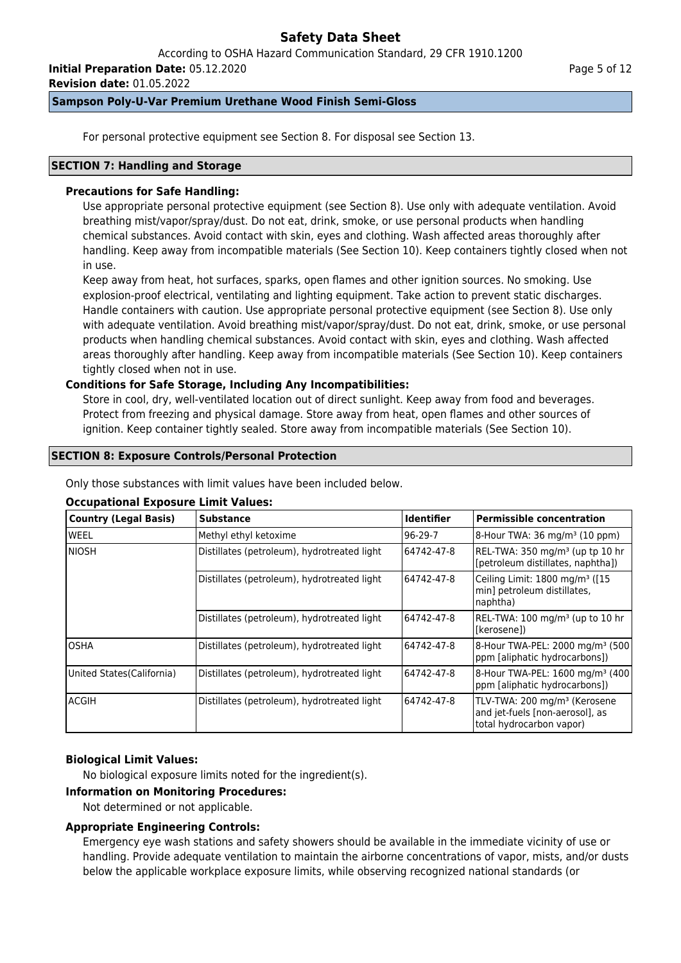According to OSHA Hazard Communication Standard, 29 CFR 1910.1200

**Initial Preparation Date:** 05.12.2020

**Revision date:** 01.05.2022

# **Sampson Poly-U-Var Premium Urethane Wood Finish Semi-Gloss**

For personal protective equipment see Section 8. For disposal see Section 13.

## **SECTION 7: Handling and Storage**

# **Precautions for Safe Handling:**

Use appropriate personal protective equipment (see Section 8). Use only with adequate ventilation. Avoid breathing mist/vapor/spray/dust. Do not eat, drink, smoke, or use personal products when handling chemical substances. Avoid contact with skin, eyes and clothing. Wash affected areas thoroughly after handling. Keep away from incompatible materials (See Section 10). Keep containers tightly closed when not in use.

Keep away from heat, hot surfaces, sparks, open flames and other ignition sources. No smoking. Use explosion-proof electrical, ventilating and lighting equipment. Take action to prevent static discharges. Handle containers with caution. Use appropriate personal protective equipment (see Section 8). Use only with adequate ventilation. Avoid breathing mist/vapor/spray/dust. Do not eat, drink, smoke, or use personal products when handling chemical substances. Avoid contact with skin, eyes and clothing. Wash affected areas thoroughly after handling. Keep away from incompatible materials (See Section 10). Keep containers tightly closed when not in use.

# **Conditions for Safe Storage, Including Any Incompatibilities:**

Store in cool, dry, well-ventilated location out of direct sunlight. Keep away from food and beverages. Protect from freezing and physical damage. Store away from heat, open flames and other sources of ignition. Keep container tightly sealed. Store away from incompatible materials (See Section 10).

## **SECTION 8: Exposure Controls/Personal Protection**

Only those substances with limit values have been included below.

## **Occupational Exposure Limit Values:**

| <b>Country (Legal Basis)</b> | <b>Substance</b>                            | <b>Identifier</b> | <b>Permissible concentration</b>                                                                        |
|------------------------------|---------------------------------------------|-------------------|---------------------------------------------------------------------------------------------------------|
| <b>WEEL</b>                  | Methyl ethyl ketoxime                       | $96-29-7$         | 8-Hour TWA: 36 mg/m <sup>3</sup> (10 ppm)                                                               |
| Iniosh                       | Distillates (petroleum), hydrotreated light | 64742-47-8        | REL-TWA: 350 mg/m <sup>3</sup> (up tp 10 hr<br>[petroleum distillates, naphtha])                        |
|                              | Distillates (petroleum), hydrotreated light | 64742-47-8        | Ceiling Limit: 1800 mg/m <sup>3</sup> ([15]<br>min] petroleum distillates,<br>naphtha)                  |
|                              | Distillates (petroleum), hydrotreated light | 64742-47-8        | REL-TWA: 100 mg/m <sup>3</sup> (up to 10 hr<br>l[kerosene])                                             |
| <b>OSHA</b>                  | Distillates (petroleum), hydrotreated light | 64742-47-8        | 8-Hour TWA-PEL: 2000 mg/m <sup>3</sup> (500)<br>ppm [aliphatic hydrocarbons])                           |
| United States (California)   | Distillates (petroleum), hydrotreated light | 64742-47-8        | 8-Hour TWA-PEL: 1600 mg/m <sup>3</sup> (400<br>ppm [aliphatic hydrocarbons])                            |
| lacgih                       | Distillates (petroleum), hydrotreated light | 64742-47-8        | TLV-TWA: 200 mg/m <sup>3</sup> (Kerosene<br>and jet-fuels [non-aerosol], as<br>total hydrocarbon vapor) |

## **Biological Limit Values:**

No biological exposure limits noted for the ingredient(s).

## **Information on Monitoring Procedures:**

Not determined or not applicable.

## **Appropriate Engineering Controls:**

Emergency eye wash stations and safety showers should be available in the immediate vicinity of use or handling. Provide adequate ventilation to maintain the airborne concentrations of vapor, mists, and/or dusts below the applicable workplace exposure limits, while observing recognized national standards (or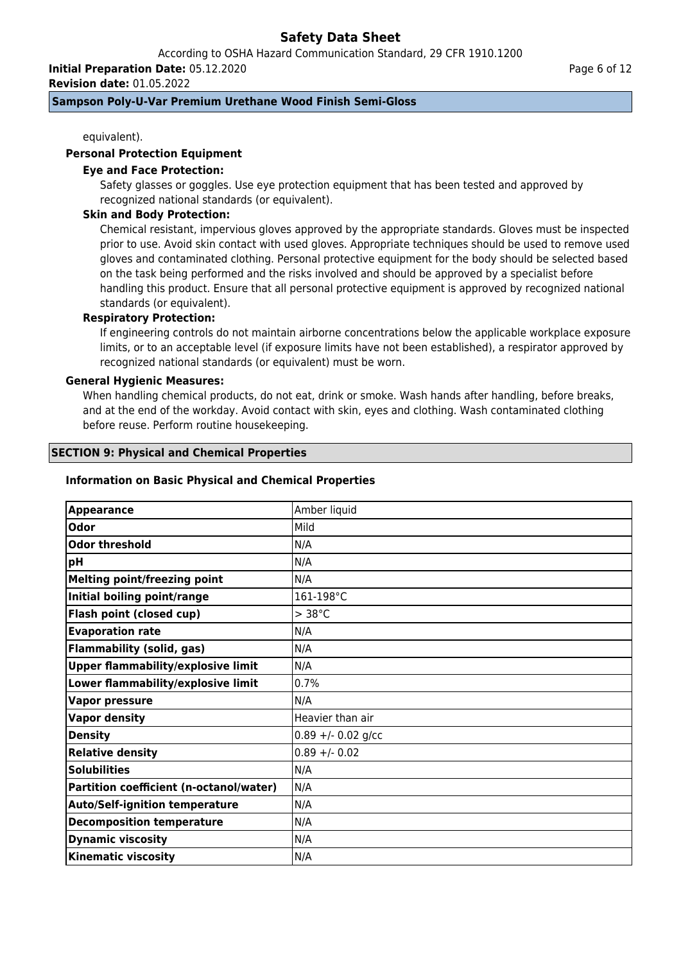According to OSHA Hazard Communication Standard, 29 CFR 1910.1200

**Initial Preparation Date:** 05.12.2020

**Revision date:** 01.05.2022

# **Sampson Poly-U-Var Premium Urethane Wood Finish Semi-Gloss**

equivalent).

## **Personal Protection Equipment**

### **Eye and Face Protection:**

Safety glasses or goggles. Use eye protection equipment that has been tested and approved by recognized national standards (or equivalent).

### **Skin and Body Protection:**

Chemical resistant, impervious gloves approved by the appropriate standards. Gloves must be inspected prior to use. Avoid skin contact with used gloves. Appropriate techniques should be used to remove used gloves and contaminated clothing. Personal protective equipment for the body should be selected based on the task being performed and the risks involved and should be approved by a specialist before handling this product. Ensure that all personal protective equipment is approved by recognized national standards (or equivalent).

## **Respiratory Protection:**

If engineering controls do not maintain airborne concentrations below the applicable workplace exposure limits, or to an acceptable level (if exposure limits have not been established), a respirator approved by recognized national standards (or equivalent) must be worn.

### **General Hygienic Measures:**

When handling chemical products, do not eat, drink or smoke. Wash hands after handling, before breaks, and at the end of the workday. Avoid contact with skin, eyes and clothing. Wash contaminated clothing before reuse. Perform routine housekeeping.

### **SECTION 9: Physical and Chemical Properties**

#### **Information on Basic Physical and Chemical Properties**

| Amber liquid         |
|----------------------|
| <b>Mild</b>          |
| N/A                  |
| N/A                  |
| N/A                  |
| 161-198°C            |
| $>$ 38 $^{\circ}$ C  |
| N/A                  |
| N/A                  |
| N/A                  |
| 0.7%                 |
| N/A                  |
| Heavier than air     |
| $0.89 + - 0.02$ g/cc |
| $0.89 + - 0.02$      |
| N/A                  |
| N/A                  |
| N/A                  |
| N/A                  |
| N/A                  |
| N/A                  |
|                      |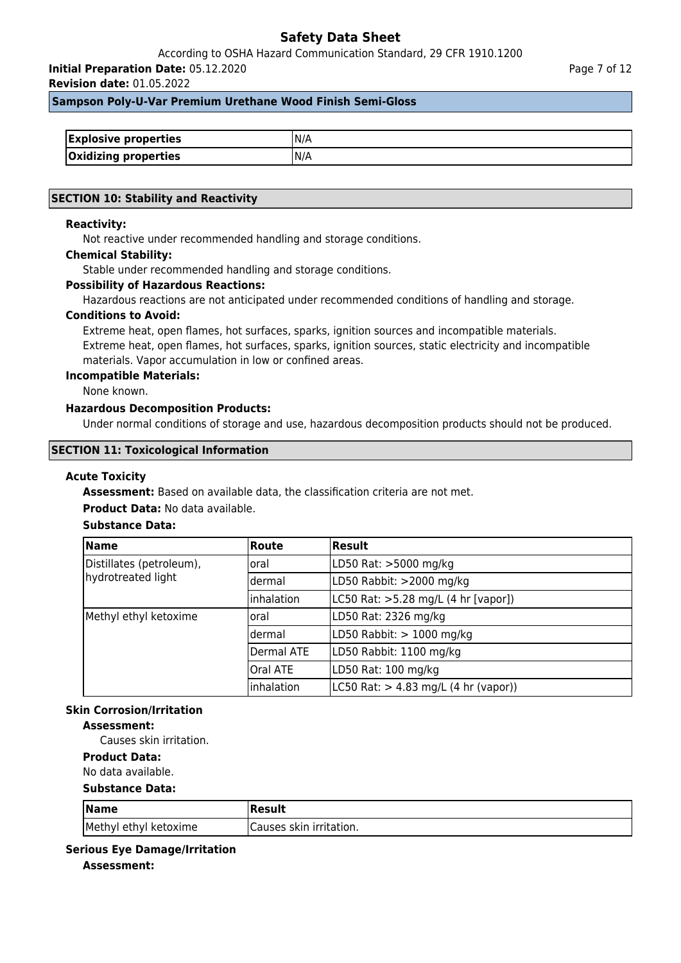According to OSHA Hazard Communication Standard, 29 CFR 1910.1200

**Initial Preparation Date:** 05.12.2020

**Revision date:** 01.05.2022

### **Sampson Poly-U-Var Premium Urethane Wood Finish Semi-Gloss**

| <b>Explosive properties</b> | IN/A |
|-----------------------------|------|
| <b>Oxidizing properties</b> | IN/A |

### **SECTION 10: Stability and Reactivity**

### **Reactivity:**

Not reactive under recommended handling and storage conditions.

### **Chemical Stability:**

Stable under recommended handling and storage conditions.

### **Possibility of Hazardous Reactions:**

Hazardous reactions are not anticipated under recommended conditions of handling and storage.

#### **Conditions to Avoid:**

Extreme heat, open flames, hot surfaces, sparks, ignition sources and incompatible materials. Extreme heat, open flames, hot surfaces, sparks, ignition sources, static electricity and incompatible materials. Vapor accumulation in low or confined areas.

#### **Incompatible Materials:**

None known.

## **Hazardous Decomposition Products:**

Under normal conditions of storage and use, hazardous decomposition products should not be produced.

### **SECTION 11: Toxicological Information**

#### **Acute Toxicity**

**Assessment:** Based on available data, the classification criteria are not met.

### **Product Data:** No data available.

## **Substance Data:**

| <b>Name</b>                                    | <b>Route</b>    | Result                                                   |
|------------------------------------------------|-----------------|----------------------------------------------------------|
| Distillates (petroleum),<br>hydrotreated light | loral           | LD50 Rat: >5000 mg/kg                                    |
|                                                | ldermal         | LD50 Rabbit: >2000 mg/kg                                 |
|                                                | inhalation      | LC50 Rat: >5.28 mg/L (4 hr [vapor])                      |
| Methyl ethyl ketoxime                          | loral           | LD50 Rat: 2326 mg/kg                                     |
|                                                | ldermal         | LD50 Rabbit: $> 1000$ mg/kg                              |
|                                                | Dermal ATE      | LD50 Rabbit: 1100 mg/kg                                  |
|                                                | <b>Oral ATE</b> | LD50 Rat: 100 mg/kg                                      |
|                                                | inhalation      | $ L C50 \text{ Rat:} > 4.83 \text{ mg/L}$ (4 hr (vapor)) |

# **Skin Corrosion/Irritation**

## **Assessment:**

Causes skin irritation.

# **Product Data:**

No data available.

### **Substance Data:**

| $\sqrt{\mathsf{Name}}$ | Result                   |
|------------------------|--------------------------|
| Methyl ethyl ketoxime  | ICauses skin irritation. |

### **Serious Eye Damage/Irritation**

**Assessment:**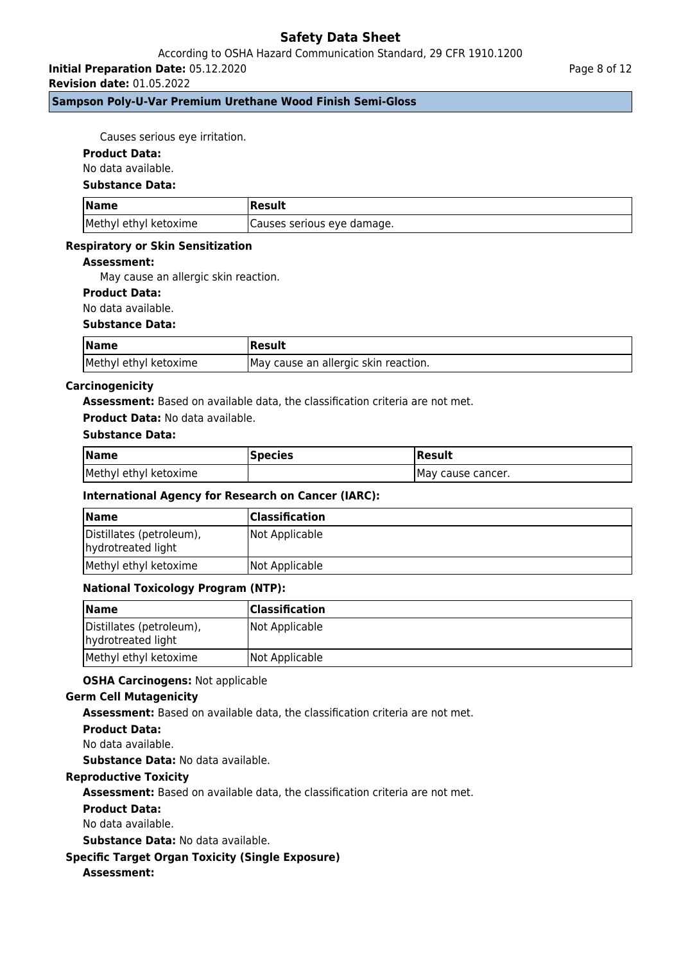## According to OSHA Hazard Communication Standard, 29 CFR 1910.1200

**Initial Preparation Date:** 05.12.2020

**Revision date:** 01.05.2022

## **Sampson Poly-U-Var Premium Urethane Wood Finish Semi-Gloss**

Causes serious eye irritation.

### **Product Data:**

No data available.

#### **Substance Data:**

| <b>Name</b>           | 'Result                    |
|-----------------------|----------------------------|
| Methyl ethyl ketoxime | Causes serious eye damage. |

### **Respiratory or Skin Sensitization**

### **Assessment:**

May cause an allergic skin reaction.

## **Product Data:**

No data available.

#### **Substance Data:**

| <b>Name</b>           | Result                                |
|-----------------------|---------------------------------------|
| Methyl ethyl ketoxime | IMay cause an allergic skin reaction. |

### **Carcinogenicity**

**Assessment:** Based on available data, the classification criteria are not met.

#### **Product Data:** No data available.

## **Substance Data:**

| Name                  | <b>Species</b> | Result             |
|-----------------------|----------------|--------------------|
| Methyl ethyl ketoxime |                | IMay cause cancer. |

### **International Agency for Research on Cancer (IARC):**

| <b>Name</b>                                    | <b>Classification</b> |
|------------------------------------------------|-----------------------|
| Distillates (petroleum),<br>hydrotreated light | Not Applicable        |
| Methyl ethyl ketoxime                          | Not Applicable        |

### **National Toxicology Program (NTP):**

| <b>Name</b>                                    | <b>Classification</b> |
|------------------------------------------------|-----------------------|
| Distillates (petroleum),<br>hydrotreated light | Not Applicable        |
| Methyl ethyl ketoxime                          | Not Applicable        |

### **OSHA Carcinogens:** Not applicable

### **Germ Cell Mutagenicity**

**Assessment:** Based on available data, the classification criteria are not met.

### **Product Data:**

No data available.

**Substance Data:** No data available.

## **Reproductive Toxicity**

**Assessment:** Based on available data, the classification criteria are not met.

### **Product Data:**

No data available.

**Substance Data:** No data available.

## **Specific Target Organ Toxicity (Single Exposure)**

## **Assessment:**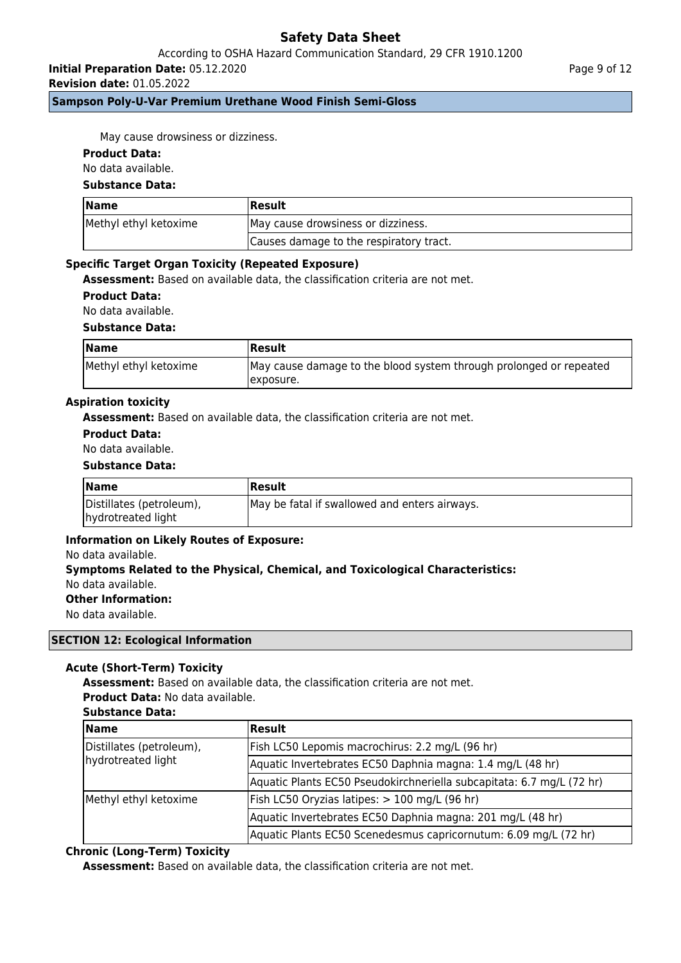## According to OSHA Hazard Communication Standard, 29 CFR 1910.1200

**Initial Preparation Date:** 05.12.2020

**Revision date:** 01.05.2022

## **Sampson Poly-U-Var Premium Urethane Wood Finish Semi-Gloss**

Page 9 of 12

May cause drowsiness or dizziness.

### **Product Data:**

No data available.

### **Substance Data:**

| Name                  | Result                                  |  |
|-----------------------|-----------------------------------------|--|
| Methyl ethyl ketoxime | May cause drowsiness or dizziness.      |  |
|                       | Causes damage to the respiratory tract. |  |

### **Specific Target Organ Toxicity (Repeated Exposure)**

**Assessment:** Based on available data, the classification criteria are not met.

**Product Data:**

No data available.

### **Substance Data:**

| <b>Name</b>           | Result                                                                           |
|-----------------------|----------------------------------------------------------------------------------|
| Methyl ethyl ketoxime | May cause damage to the blood system through prolonged or repeated<br>Texposure. |

### **Aspiration toxicity**

**Assessment:** Based on available data, the classification criteria are not met.

## **Product Data:**

No data available.

### **Substance Data:**

| <b>Name</b>                                    | Result                                        |
|------------------------------------------------|-----------------------------------------------|
| Distillates (petroleum),<br>hydrotreated light | May be fatal if swallowed and enters airways. |

### **Information on Likely Routes of Exposure:**

#### No data available.

# **Symptoms Related to the Physical, Chemical, and Toxicological Characteristics:** No data available.

**Other Information:**

No data available.

### **SECTION 12: Ecological Information**

## **Acute (Short-Term) Toxicity**

**Assessment:** Based on available data, the classification criteria are not met. **Product Data:** No data available.

### **Substance Data:**

| <b>Name</b>                                    | <b>Result</b>                                                         |  |
|------------------------------------------------|-----------------------------------------------------------------------|--|
| Distillates (petroleum),<br>hydrotreated light | Fish LC50 Lepomis macrochirus: 2.2 mg/L (96 hr)                       |  |
|                                                | Aquatic Invertebrates EC50 Daphnia magna: 1.4 mg/L (48 hr)            |  |
|                                                | Aquatic Plants EC50 Pseudokirchneriella subcapitata: 6.7 mg/L (72 hr) |  |
| Methyl ethyl ketoxime                          | Fish LC50 Oryzias latipes: > 100 mg/L (96 hr)                         |  |
|                                                | Aquatic Invertebrates EC50 Daphnia magna: 201 mg/L (48 hr)            |  |
|                                                | Aquatic Plants EC50 Scenedesmus capricornutum: 6.09 mg/L (72 hr)      |  |

## **Chronic (Long-Term) Toxicity**

**Assessment:** Based on available data, the classification criteria are not met.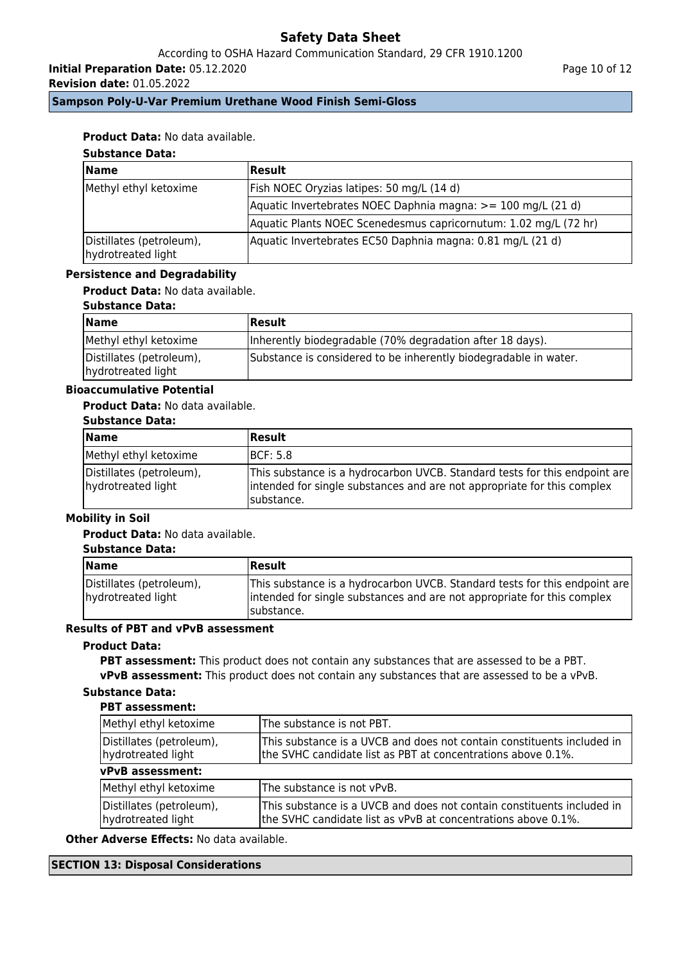According to OSHA Hazard Communication Standard, 29 CFR 1910.1200

**Initial Preparation Date:** 05.12.2020

**Revision date:** 01.05.2022

Page 10 of 12

# **Sampson Poly-U-Var Premium Urethane Wood Finish Semi-Gloss**

# **Product Data:** No data available.

# **Substance Data:**

| <b>Name</b>                                    | Result                                                           |
|------------------------------------------------|------------------------------------------------------------------|
| Methyl ethyl ketoxime                          | [Fish NOEC Oryzias latipes: 50 mg/L (14 d)                       |
|                                                | Aquatic Invertebrates NOEC Daphnia magna: >= 100 mg/L (21 d)     |
|                                                | Aquatic Plants NOEC Scenedesmus capricornutum: 1.02 mg/L (72 hr) |
| Distillates (petroleum),<br>hydrotreated light | Aquatic Invertebrates EC50 Daphnia magna: 0.81 mg/L (21 d)       |

### **Persistence and Degradability**

# **Product Data:** No data available.

### **Substance Data:**

| <b>Name</b>                                    | Result                                                           |
|------------------------------------------------|------------------------------------------------------------------|
| Methyl ethyl ketoxime                          | Inherently biodegradable (70% degradation after 18 days).        |
| Distillates (petroleum),<br>hydrotreated light | Substance is considered to be inherently biodegradable in water. |

# **Bioaccumulative Potential**

## **Product Data:** No data available.

## **Substance Data:**

| Name                                           | <b>Result</b>                                                                                                                                                        |
|------------------------------------------------|----------------------------------------------------------------------------------------------------------------------------------------------------------------------|
| Methyl ethyl ketoxime                          | <b>IBCF: 5.8</b>                                                                                                                                                     |
| Distillates (petroleum),<br>hydrotreated light | This substance is a hydrocarbon UVCB. Standard tests for this endpoint are<br>intended for single substances and are not appropriate for this complex<br>Isubstance. |

# **Mobility in Soil**

## **Product Data:** No data available.

#### **Substance Data:**

| <b>Name</b>                                    | <b>Result</b>                                                                                                                                                        |
|------------------------------------------------|----------------------------------------------------------------------------------------------------------------------------------------------------------------------|
| Distillates (petroleum),<br>hydrotreated light | This substance is a hydrocarbon UVCB. Standard tests for this endpoint are<br>intended for single substances and are not appropriate for this complex<br>Isubstance. |

# **Results of PBT and vPvB assessment**

# **Product Data:**

**PBT assessment:** This product does not contain any substances that are assessed to be a PBT. **vPvB assessment:** This product does not contain any substances that are assessed to be a vPvB.

# **Substance Data:**

### **PBT assessment:**

| Methyl ethyl ketoxime                          | The substance is not PBT.                                                                                                               |  |
|------------------------------------------------|-----------------------------------------------------------------------------------------------------------------------------------------|--|
| Distillates (petroleum),<br>hydrotreated light | This substance is a UVCB and does not contain constituents included in<br>the SVHC candidate list as PBT at concentrations above 0.1%.  |  |
| vPvB assessment:                               |                                                                                                                                         |  |
| Methyl ethyl ketoxime                          | The substance is not vPvB.                                                                                                              |  |
| Distillates (petroleum),<br>hydrotreated light | This substance is a UVCB and does not contain constituents included in<br>the SVHC candidate list as vPvB at concentrations above 0.1%. |  |

**Other Adverse Effects:** No data available.

### **SECTION 13: Disposal Considerations**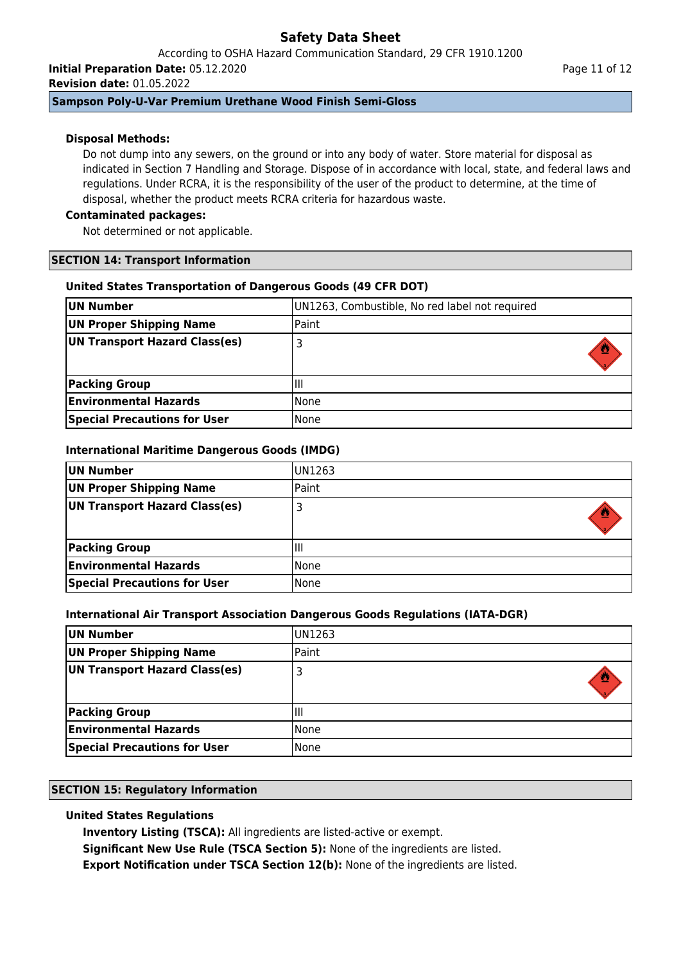According to OSHA Hazard Communication Standard, 29 CFR 1910.1200

**Initial Preparation Date:** 05.12.2020 **Revision date:** 01.05.2022

# **Sampson Poly-U-Var Premium Urethane Wood Finish Semi-Gloss**

# **Disposal Methods:**

Do not dump into any sewers, on the ground or into any body of water. Store material for disposal as indicated in Section 7 Handling and Storage. Dispose of in accordance with local, state, and federal laws and regulations. Under RCRA, it is the responsibility of the user of the product to determine, at the time of disposal, whether the product meets RCRA criteria for hazardous waste.

## **Contaminated packages:**

Not determined or not applicable.

## **SECTION 14: Transport Information**

# **United States Transportation of Dangerous Goods (49 CFR DOT)**

| UN Number                           | UN1263, Combustible, No red label not required |
|-------------------------------------|------------------------------------------------|
| <b>UN Proper Shipping Name</b>      | Paint                                          |
| UN Transport Hazard Class(es)       |                                                |
| <b>Packing Group</b>                | Ш                                              |
| <b>Environmental Hazards</b>        | None                                           |
| <b>Special Precautions for User</b> | None                                           |

# **International Maritime Dangerous Goods (IMDG)**

| UN Number                           | IUN1263 |
|-------------------------------------|---------|
| UN Proper Shipping Name             | Paint   |
| UN Transport Hazard Class(es)       |         |
|                                     |         |
| <b>Packing Group</b>                | Шı      |
| <b>Environmental Hazards</b>        | l None  |
| <b>Special Precautions for User</b> | l None  |

## **International Air Transport Association Dangerous Goods Regulations (IATA-DGR)**

| UN Number                           | UN1263 |
|-------------------------------------|--------|
| UN Proper Shipping Name             | Paint  |
| UN Transport Hazard Class(es)       |        |
| <b>Packing Group</b>                | Ш      |
| <b>Environmental Hazards</b>        | None   |
| <b>Special Precautions for User</b> | None   |

## **SECTION 15: Regulatory Information**

# **United States Regulations**

**Inventory Listing (TSCA):** All ingredients are listed-active or exempt.

**Significant New Use Rule (TSCA Section 5):** None of the ingredients are listed.

**Export Notification under TSCA Section 12(b):** None of the ingredients are listed.